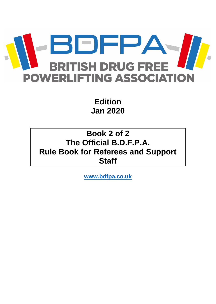

**Edition Jan 2020**

# **Book 2 of 2 The Official B.D.F.P.A. Rule Book for Referees and Support Staff**

**[www.bdfpa.co.uk](http://www.bdfpa.co.uk/)**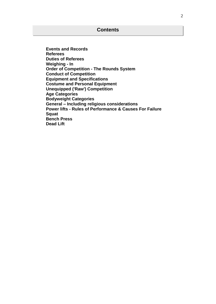**Events and Records Referees Duties of Referees Weighing - In Order of Competition - The Rounds System Conduct of Competition Equipment and Specifications Costume and Personal Equipment Unequipped ('Raw') Competition Age Categories Bodyweight Categories General – Including religious considerations Power lifts - Rules of Performance & Causes For Failure Squat Bench Press Dead Lift**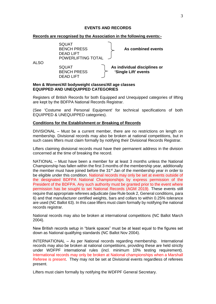### **EVENTS AND RECORDS**

#### **Records are recognised by the Association in the following events:-**

|      | <b>SQUAT</b><br><b>BENCH PRESS</b><br><b>DEAD LIFT</b><br>POWERLIFTING TOTAL | As combined events                                                                                                 |
|------|------------------------------------------------------------------------------|--------------------------------------------------------------------------------------------------------------------|
| ALSO | <b>SQUAT</b><br><b>BENCH PRESS</b><br><b>DEAD LIFT</b>                       | As individual disciplines or<br>'Single Lift' events<br>Marc 0 Missouri All La Jacostolet alangeral All and alange |

#### **Men & Women/All bodyweight classes/All age classes EQUIPPED AND UNEQUIPPED CATEGORIES**

Registers of British Records for both Equipped and Unequipped categories of lifting are kept by the BDFPA National Records Registrar.

(See 'Costume and Personal Equipment' for technical specifications of both EQUIPPED & UNEQUIPPED categories).

#### **Conditions for the Establishment or Breaking of Records**

DIVISIONAL – Must be a current member, there are no restrictions on length on membership. Divisional records may also be broken at national competitions, but in such cases lifters must claim formally by notifying their Divisional Records Registrar.

Lifters claiming divisional records must have their permanent address in the division concerned at the time of breaking the record.

NATIONAL – Must have been a member for at least 3 months unless the National Championship has fallen within the first 3 months of the membership year, additionally the member must have joined before the 31<sup>st</sup> Jan of the membership year in order to be eligible under this condition. National records may only be set at events outside of the designated BDFPA National Championships by express permission of the President of the BDFPA. Any such authority must be granted prior to the event where permission has be sought to set National Records (AGM 2019). These events still require that appropriate referees adjudicate (iaw Rule book 2, General conditions, para 6) and that manufacturer certified weights, bars and collars to within 0.25% tolerance are used (NC Ballot 63). In this case lifters must claim formally by notifying the national records registrar.

National records may also be broken at international competitions (NC Ballot March 2004).

New British records setup in "blank spaces" must be at least equal to the figures set down as National qualifying standards (NC Ballot Nov 2004).

INTERNATIONAL – As per National records regarding membership. International records may also be broken at national competitions, providing these are held strictly under WDFPF international rules (incl. minimum 10% testing requirement). International records may only be broken at National championships when a Marshall Referee is present. They may not be set at Divisional events regardless of referees present.

Lifters must claim formally by notifying the WDFPF General Secretary.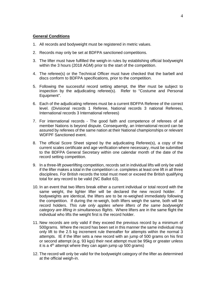### **General Conditions**

- 1. All records and bodyweight must be registered in metric values.
- 2. Records may only be set at BDFPA sanctioned competitions.
- 3. The lifter must have fulfilled the weigh-in rules by establishing official bodyweight within the 3 hours (2018 AGM) prior to the start of the competition.
- 4. The referee(s) or the Technical Officer must have checked that the barbell and discs conform to BDFPA specifications, prior to the competition.
- 5. Following the successful record setting attempt, the lifter must be subject to inspection by the adjudicating referee(s). Refer to "Costume and Personal Equipment".
- 6. Each of the adjudicating referees must be a current BDFPA Referee of the correct level. (Divisional records 1 Referee, National records 3 national Referees, International records 3 International referees)
- 7. For international records The good faith and competence of referees of all member Nations is beyond dispute. Consequently, an International record can be assured by referees of the same nation at their National championships or relevant WDFPF Sanctioned event.
- 8. The official Score Sheet signed by the adjudicating Referee(s), a copy of the current scales certificate and age verification where necessary, must be submitted to the BDFPA General Secretary within one calendar month of the date of the record setting competition.
- 9. In a three-lift powerlifting competition, records set in individual lifts will only be valid if the lifter makes a total in the competition i.e. completes at least one lift in all three disciplines. For British records the total must meet or exceed the British qualifying total for any record to be valid (NC Ballot 63).
- 10. In an event that two lifters break either a current individual or total record with the same weight, the lighter lifter will be declared the new record holder. bodyweights are identical, the lifters are to be re-weighed immediately following the competition. If during the re-weigh, both lifters weigh the same, both will be record holders. *This rule only applies where lifters of the same bodyweight category are lifting in simultaneous flights*. Where lifters are in the same flight the individual who lifts the weight first is the record holder.
- 11. New records are only valid if they exceed the previous record by a minimum of 500grams. Where the record has been set in this manner the same individual may only lift to the 2.5 kg increment rule thereafter for attempts within the normal 3 attempts. IE if the lifter sets a new record with an jump of 500 grams on his first or second attempt (e.g. 93 kgs) their next attempt must be 95kg or greater unless it is a  $4<sup>th</sup>$  attempt where they can again jump up 500 grams)
- 12. The record will only be valid for the bodyweight category of the lifter as determined at the official weigh-in.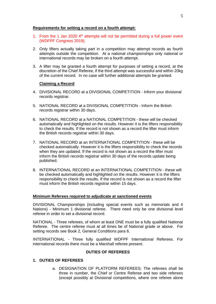### **Requirements for setting a record on a fourth attempt:**

- 1. From the 1 Jan 2020  $4<sup>th</sup>$  attempts will not be permitted during a full power event (WDFPF Congress 2019).
- 2. Only lifters actually taking part in a competition may attempt records as fourth attempts outside the competition. At a national championships only national or international records may be broken on a fourth attempt.
- 3. A lifter may be granted a fourth attempt for purposes of setting a record, at the discretion of the Chief Referee, if the third attempt was successful and within 20kg of the current record. In no case will further additional attempts be granted.

# **Claiming a Record**

- 4. DIVISIONAL RECORD at a DIVISIONAL COMPETITION Inform your divisional records registrar.
- 5. NATIONAL RECORD at a DIVISIONAL COMPETITION Inform the British records registrar within 30 days.
- 6. NATIONAL RECORD at a NATIONAL COMPETITION these will be checked automatically and highlighted on the results. However it is the lifters responsibility to check the results. If the record is not shown as a record the lifter must inform the British records registrar within 30 days.
- 7. NATIONAL RECORD at an INTERNATIONAL COMPETITION these will be checked automatically. However it is the lifters responsibility to check the records when they are updated. If the record is not shown as a record the lifter must inform the British records registrar within 30 days of the records update being published.
- 8. INTERNATIONAL RECORD at an INTERNATIONAL COMPETITION these will be checked automatically and highlighted on the results. However it is the lifters responsibility to check the results. If the record is not shown as a record the lifter must inform the British records registrar within 15 days.

### **Minimum Referees required to adjudicate at sanctioned events**

DIVISIONAL Championships (including special events such as memorials and 4 Nations) - Minimum 1 divisional referee. There need only be one divisional level referee in order to set a divisional record.

NATIONAL - Three referees, of whom at least ONE must be a fully qualified National Referee. The centre referee must at all times be of National grade or above. For setting records see Book 2, General Conditions para 6.

INTERNATIONAL - Three fully qualified WDFPF International Referees. For international records there must be a Marshall referee present.

# **DUTIES OF REFEREES**

### **1. DUTIES OF REFEREES**

a. DESIGNATION OF PLATFORM REFEREES: The referees shall be three in number, the Chief or Centre Referee and two side referees (except possibly at Divisional competitions, where one referee alone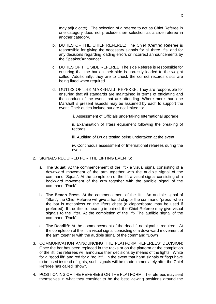may adjudicate). The selection of a referee to act as Chief Referee in one category does not preclude their selection as a side referee in another category.

- b. DUTIES OF THE CHIEF REFEREE: The Chief (Centre) Referee is responsible for giving the necessary signals for all three lifts, and for any decisions regarding loading errors or incorrect announcements by the Speaker/Announcer.
- c. DUTIES OF THE SIDE REFEREE: The side Referee is responsible for ensuring that the bar on their side is correctly loaded to the weight called. Additionally, they are to check the correct records discs are being fitted when required.
- d. DUTIES OF THE MARSHALL REFEREE: They are responsible for ensuring that all standards are maintained in terms of officiating and the conduct of the event that are attending. Where more than one Marshall is present aspects may be assumed by each to support the event. Their duties include but are not limited to:
	- i. Assessment of Officials undertaking International upgrade.

ii. Examination of lifters equipment following the breaking of records

iii. Auditing of Drugs testing being undertaken at the event.

iv. Continuous assessment of International referees during the event.

- 2. SIGNALS REQUIRED FOR THE LIFTING EVENTS:
	- a. **The Squat**: At the commencement of the lift a visual signal consisting of a downward movement of the arm together with the audible signal of the command "Squat". At the completion of the lift a visual signal consisting of a backward movement of the arm together with the audible signal of the command "Rack".
	- b. **The Bench Press**: At the commencement of the lift An audible signal of "Start", the Chief Referee will give a hand clap or the command "press" when the bar is motionless on the lifters chest (a clapperboard may be used if preferred). If the lifter is hearing impaired, the Chief Referee may give visual signals to the lifter. At the completion of the lift- The audible signal of the command "Rack".
	- c. **The Deadlift**: At the commencement of the deadlift no signal is required. At the completion of the lift a visual signal consisting of a downward movement of the arm together with the audible signal of the command "Down".
- 3. COMMUNICATION ANNOUNCING THE PLATFORM REFEREES' DECISION: Once the bar has been replaced in the racks or on the platform at the completion of the lift, the referees will announce their decisions by means of the lights. White for a "good lift" and red for a "no lift". In the event that hand signals or flags have to be used instead of lights, such signals will be made immediately after the Chief Referee has called "show".
- 4. POSITIONING OF THE REFEREES ON THE PLATFORM: The referees may seat themselves in what they consider to be the best viewing positions around the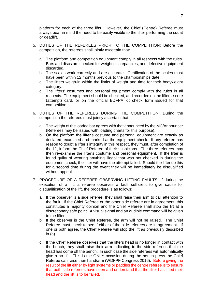platform for each of the three lifts. However, the Chief (Centre) Referee must always bear in mind the need to be easily visible to the lifter performing the squat or deadlift.

- 5. DUTIES OF THE REFEREES PRIOR TO THE COMPETITION: Before the competition, the referees shall jointly ascertain that:
	- a. The platform and competition equipment comply in all respects with the rules. Bars and discs are checked for weight discrepancies, and defective equipment discarded.
	- b. The scales work correctly and are accurate. Certification of the scales must have been within 12 months previous to the championships date.
	- c. The lifters weigh-in within the limits of weight and time for their bodyweight category.
	- d. The lifters' costumes and personal equipment comply with the rules in all respects. The equipment should be checked, and recorded on the lifters' score (attempt) card, or on the official BDFPA kit check form issued for that competition.
- 6. DUTIES OF THE REFEREES DURING THE COMPETITION: During the competition the referees must jointly ascertain that:
	- a. The weight of the loaded bar agrees with that announced by the MC/Announcer (Referees may be issued with loading charts for this purpose).
	- b. On the platform the lifter's costume and personal equipment are exactly as declared, examined and marked at the equipment check. If any referee has reason to doubt a lifter's integrity in this respect, they must, after completion of the lift, inform the Chief Referee of their suspicions. The three referees may then re-examine the lifter's costume and personal equipment. If the lifter is found guilty of wearing anything illegal that was not checked in during the equipment check, the lifter will have the attempt failed. Should the lifter do this for a second time during the event they will be immediately be disqualified without appeal.
- 7. PROCEDURE OF A REFEREE OBSERVING LIFTING FAULTS: If during the execution of a lift, a referee observes a fault sufficient to give cause for disqualification of the lift, the procedure is as follows:
	- a. If the observer is a side referee, they shall raise their arm to call attention to the fault. If the Chief Referee or the other side referee are in agreement, this constitutes a majority opinion and the Chief Referee shall stop the lift at a discretionary safe point. A visual signal and an audible command will be given to the lifter.
	- b. If the observer is the Chief Referee, the arm will not be raised. The Chief Referee must check to see if either of the side referees are in agreement. If one or both agree, the Chief Referee will stop the lift as previously described in (a).
	- c. If the Chief Referee observes that the lifters head is no longer in contact with the bench, they shall raise their arm indicating to the side referees that the head has come off the bench. In such case the side referees will automatically give a no lift. This is the ONLY occasion during the bench press the Chief Referee can raise their hand/arm (WDFPF Congress 2016). Before giving the result of the lift either by light systems or paddles the centre referee is to ensure that both side referees have seen and understand that the lifter has lifted their head and the lift is to be failed.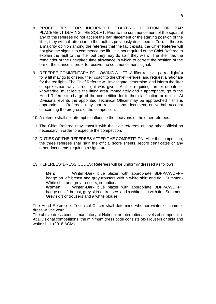- 8. PROCEDURES FOR INCORRECT STARTING POSITION OR BAR PLACEMENT DURING THE SQUAT: Prior to the commencement of the squat, if any of the referees do not accept the bar placement or the starting position of the lifter, they will call attention to the fault as previously described in 7(a). If there is a majority opinion among the referees that the fault exists, the Chief Referee will not give the signals to commence the lift. It is not required of the Chief Referee to explain the fault to the lifter but they may do so if they wish. The lifter has the remainder of the unexpired time allowance in which to correct the position of the bar or the stance in order to receive the commencement signal.
- 9. REFEREE COMMENTARY FOLLOWING A LIFT: A lifter receiving a red light(s) for a lift may go to or send their coach to the Chief Referee, and request a rationale for the red light. The Chief Referee will investigate, determine, and inform the lifter or spokesman why a red light was given. A lifter requiring further debate or knowledge, must leave the lifting area immediately and if appropriate, go to the Head Referee in charge of the competition for further clarification or ruling. At Divisional events the appointed Technical Officer may be approached if this is appropriate. Referees may not receive any document or verbal account concerning the progress of the competition.
- 10. A referee shall not attempt to influence the decisions of the other referees.
- 11. The Chief Referee may consult with the side referees or any other official as necessary in order to expedite the competition.
- 12. DUTIES OF THE REFEREES AFTER THE COMPETITION: After the competition, the three referees shall sign the official score sheets, record certificates or any other documents requiring a signature.
- 13. REFEREES' DRESS CODES: Referees will be uniformly dressed as follows:

**Men**: Winter:-Dark blue blazer with appropriate BDFPA/WDFPF badge on left breast and grey trousers with a white shirt and tie. Summer:- White shirt and grey trousers, tie optional.

**Women:** Winter:-Dark blue blazer with appropriate BDFPA/WDFPF badge on left breast, grey skirt or trousers and a white shirt with tie. Summer:- Grey skirt or trousers and a white blouse.

The Head Referee or Technical Officer shall determine whether winter or summer dress will be worn.

The above dress code is mandatory at National or International levels of competition. At Divisional competitions, the minimum dress code consists of:-Trousers or skirt and white shirt. (2018 AGM)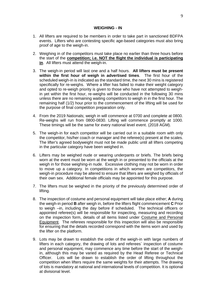#### **WEIGHING - IN**

- 1. All lifters are required to be members in order to take part in sanctioned BDFPA events. Lifters who are contesting specific age-based categories must also bring proof of age to the weigh-in.
- 2. Weighing in of the competitors must take place no earlier than three hours before the start of the **competition; i.e. NOT the flight the individual is participating in**. All lifters must attend the weigh-in.
- 3. The weigh-in period will last one and a half hours. **All lifters must be present within the first hour of weigh in advertised times**. The first hour of the scheduled weigh-in is indicated as the standard time, the next 30 mins is registered specifically for re-weighs. Where a lifter has failed to make their weight category and opted to re-weigh priority is given to those who have not attempted to weighin yet within the first hour, re-weighs will be conducted in the following 30 mins unless there are no remaining waiting competitors to weigh in in the first hour. The remaining half (1/2) hour prior to the commencement of the lifting will be used for the purpose of final competition preparation only.
- 4. From the 2019 Nationals; weigh in will commence at 0700 and complete at 0800. Re-weighs will run from 0800-0830. Lifting will commence promptly at 1000. These timings will be the same for every national level event. (2018 AGM).
- 5. The weigh-in for each competitor will be carried out in a suitable room with only the competitor, his/her coach or manager and the referee(s) present at the scales. The lifter's agreed bodyweight must not be made public until all lifters competing in the particular category have been weighed in.
- 6. Lifters may be weighed nude or wearing underpants or briefs. The briefs being worn at the event must be worn at the weigh in or presented to the officials at the weigh in for those weighing-in nude. Excessive clothing may not be worn in order to move up a category. In competitions in which women are competitors, the weigh-in procedure may be altered to ensure that lifters are weighed by officials of their own sex. Additional female officials may be appointed for this purpose.
- 7. The lifters must be weighed in the priority of the previously determined order of lifting.
- 8. The inspection of costume and personal equipment will take place either; **A** during the weigh-in period **B** after weigh in, before the lifters flight commencement **C** Prior to weigh –in, including the day before if scheduled. The technical officers or appointed referee(s) will be responsible for inspecting, measuring and recording on the inspection form, details of all items listed under Costume and Personal Equipment. The referees responsible for this inspection will also be responsible for ensuring that the details recorded correspond with the items worn and used by the lifter on the platform.
- 9. Lots may be drawn to establish the order of the weigh-in with large numbers of lifters in each category, the drawing of lots and referees` inspection of costume and personal equipment, may commence any time before the start of the weighin, although this may be varied as required by the Head Referee or Technical Officer. Lots will be drawn to establish the order of lifting throughout the competition when lifters require the same weights for their attempts. The drawing of lots is mandatory at national and international levels of competition. It is optional at divisional level.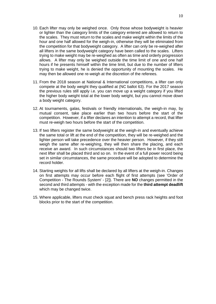- 10. Each lifter may only be weighed once. Only those whose bodyweight is heavier or lighter than the category limits of the category entered are allowed to return to the scales. They must return to the scales and make weight within the limits of the hour and one half allowed for the weigh-in, otherwise they will be eliminated from the competition for that bodyweight category. A lifter can only be re-weighed after all lifters in the same bodyweight category have been called to the scales. Lifters trying to make weight may be re-weighed as often as time and orderly progression allows. A lifter may only be weighed outside the time limit of one and one half hours if he presents himself within the time limit, but due to the number of lifters trying to make weight, he is denied the opportunity of mounting the scales. He may then be allowed one re-weigh at the discretion of the referees.
- 11. From the 2018 season at National & International competitions, a lifter can only compete at the body weight they qualified at (NC ballot 63). For the 2017 season the previous rules still apply i.e. you can move up a weight category if you lifted the higher body weight total at the lower body weight, but you cannot move down a body weight category.
- 12. At tournaments, galas, festivals or friendly internationals, the weigh-in may, by mutual consent, take place earlier than two hours before the start of the competition. However, if a lifter declares an intention to attempt a record, that lifter must re-weigh two hours before the start of the competition.
- 13. If two lifters register the same bodyweight at the weigh-in and eventually achieve the same total or lift at the end of the competition, they will be re-weighed and the lighter person will take precedence over the heavier person. However, if they still weigh the same after re-weighing, they will then share the placing, and each receive an award. In such circumstances should two lifters be in first place, the next lifter shall be placed third and so on. In the event of a full power record being set in similar circumstances, the same procedure will be adopted to determine the record holder.
- 14. Starting weights for all lifts shall be declared by all lifters at the weigh-in. Changes on first attempts may occur before each flight of first attempts (see 'Order of Competition - The Rounds System' - [2]). There are **NO** changes permitted in the second and third attempts - with the exception made for the **third attempt deadlift** which may be changed twice.
- 15. Where applicable, lifters must check squat and bench press rack heights and foot blocks prior to the start of the competition.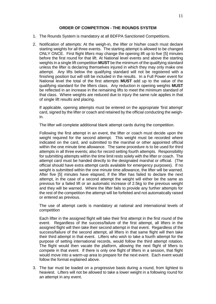### **ORDER OF COMPETITION - THE ROUNDS SYSTEM**

- 1. The Rounds System is mandatory at all BDFPA Sanctioned Competitions.
- 2. Notification of attempts: At the weigh-in, the lifter or his/her coach must declare starting weights for all three events. The starting attempt is allowed to be changed ONLY ONCE. First flight lifters may change the opening lift up to five [5] minutes before the first round for that lift. At National level events and above the starting weights in a single lift competition **MUST** be the minimum of the qualifying standard unless the lifter is declaring themselves injured in which they may only make one attempt. Any lifts below the qualifying standard will not be registered with a finishing position but will still be included in the results. In a Full Power event for National level the total of the first attempts **MUST** add up to the value of the qualifying standard for the lifters class. Any reduction in opening weights **MUST** be reflected in an increase in the remaining lifts to meet the minimum standard of that class. Where weights are reduced due to injury the same rule applies in that of single lift results and placing.

If applicable, opening attempts must be entered on the appropriate 'first attempt' card, signed by the lifter or coach and retained by the official conducting the weighin.

The lifter will complete additional blank attempt cards during the competition.

Following the first attempt in an event, the lifter or coach must decide upon the weight required for the second attempt. This weight must be recorded where indicated on the card, and submitted to the marshal or other appointed official within the one minute time allowance. The same procedure is to be used for third attempts in all three events; also for record setting fourth attempts. Responsibility for submitting attempts within the time limit rests solely with the lifter or coach. The attempt card must be handed directly to the designated marshal or official. (The official should have extra attempt cards available for emergency purposes). If no weight is submitted within the one minute time allowance, the lifter will be warned. After five [5] minutes have elapsed, if the lifter has failed to declare the next attempt, in the case of a second attempt the weight will either be the same as previous for a failed lift or an automatic increase of 2.5kg to the previous weight and they will be warned. Where the lifter fails to provide any further attempts for the rest of the competition the attempt will be forfeited and not automatically raised or entered as previous.

The use of attempt cards is mandatory at national and international levels of competition

Each lifter in the assigned flight will take their first attempt in the first round of the event. Regardless of the success/failure of the first attempt, all lifters in the assigned flight will then take their second attempt in that event. Regardless of the success/failure of the second attempt, all lifters in that same flight will then take their third attempt in that event. Lifters who wish to take a fourth attempt for the purpose of setting international records, would follow the third attempt rotation. The flight would then vacate the platform, allowing the next flight of lifters to compete in that event. If there is only one flight of lifters in a session, that flight would move into a warm-up area to prepare for the next event. Each event would follow the format explained above.

3. The bar must be loaded on a progressive basis during a round, from lightest to heaviest. Lifters will not be allowed to take a lower weight in a following round for an attempt in any event.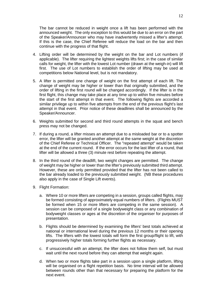The bar cannot be reduced in weight once a lift has been performed with the announced weight. The only exception to this would be due to an error on the part of the Speaker/Announcer who may have inadvertently missed a lifter's attempt. If this is the case, the Chief Referee will reduce the load on the bar and then continue with the progress of that flight.

- 4. Lifting order will be determined by the weight on the bar and Lot numbers (if applicable). The lifter requiring the lightest weights lifts first; in the case of similar calls for weight, the lifter with the lowest Lot number (drawn at the weigh-in) will lift first. The use of Lot numbers to establish the order of lifting may be used at competitions below National level, but is not mandatory.
- 5. A lifter is permitted one change of weight on the first attempt of each lift. The change of weight may be higher or lower than that originally submitted, and the order of lifting in the first round will be changed accordingly. If the lifter is in the first flight, this change may take place at any time up to within five minutes before the start of the first attempt in that event. The following flights are accorded a similar privilege up to within five attempts from the end of the previous flight's last attempt in that event. Prior notice of these deadlines shall be announced by the Speaker/Announcer.
- 6. Weights submitted for second and third round attempts in the squat and bench press may not be changed.
- 7. If during a round, a lifter misses an attempt due to a misloaded bar or to a spotter error, the lifter will be granted another attempt at the same weight at the discretion of the Chief Referee or Technical Officer. The "repeated attempt" would be taken at the end of the current round. If the error occurs for the last lifter of a round, that lifter will be allowed a three (3) minute rest before repeating the attempt.
- 8. In the third round of the deadlift, two weight changes are permitted. The change of weight may be higher or lower than the lifter's previously submitted third attempt. However, these are only permitted provided that the lifter has not been called to the bar already loaded to the previously submitted weight. (NB these procedures also apply in the case of Single Lift events).
- 9. Flight Formation:
	- a. Where 10 or more lifters are competing in a session, groups called flights, may be formed consisting of approximately equal numbers of lifters. (Flights MUST be formed when 15 or more lifters are competing in the same session). A session can be composed of a single bodyweight class or any combination of bodyweight classes or ages at the discretion of the organiser for purposes of presentation.
	- b. Flights should be determined by examining the lifters' best totals achieved at national or international level during the previous 12 months or their opening lifts. The lifters with the lowest totals will form the first group/flight to lift, with progressively higher totals forming further flights as necessary.
	- c. If unsuccessful with an attempt, the lifter does not follow them self, but must wait until the next round before they can attempt that weight again.
	- d. When two or more flights take part in a session upon a single platform, lifting will be organised on a flight repetition basis. No time interval will be allowed between rounds other than that necessary for preparing the platform for the next event.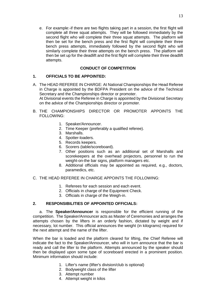e. For example:-if there are two flights taking part in a session, the first flight will complete all three squat attempts. They will be followed immediately by the second flight who will complete their three squat attempts. The platform will then be set for the bench press and the first flight will complete their three bench press attempts, immediately followed by the second flight who will similarly complete their three attempts on the bench press. The platform will then be set up for the deadlift and the first flight will complete their three deadlift attempts.

# **CONDUCT OF COMPETITION**

# **1. OFFICIALS TO BE APPOINTED:**

- A. The HEAD REFEREE IN CHARGE: At National Championships the Head Referee in Charge is appointed by the BDFPA President on the advice of the Technical Secretary and the Championships director or promoter. At Divisional events the Referee in Charge is appointed by the Divisional Secretary on the advice of the Championships director or promoter.
- B. THE CHAMPIONSHIPS DIRECTOR OR PROMOTER APPOINTS THE FOLLOWING:
	- 1. Speaker/Announcer.
	- 2. Time Keeper (preferably a qualified referee).
	- 3. Marshalls.
	- 4. Spotter-loaders.
	- 5. Records keepers.
	- 6. Scorers (table/scoreboard).
	- 7. Other positions such as an additional set of Marshalls and scorekeepers at the overhead projectors, personnel to run the weight-on-the bar signs, platform managers etc.
	- 8. Additional officials may be appointed as required, e.g., doctors, paramedics, etc.
- C. THE HEAD REFEREE IN CHARGE APPOINTS THE FOLLOWING:
	- 1. Referees for each session and each event.
	- 2. Officials in charge of the Equipment Check.
	- 3. Officials in charge of the Weigh-in.

### **2. RESPONSIBILITIES OF APPOINTED OFFICIALS:**

a. The **Speaker/Announcer** is responsible for the efficient running of the competition. The Speaker/Announcer acts as Master of Ceremonies and arranges the attempts chosen by the lifters in an orderly fashion, dictated by weight and if necessary, lot number. This official announces the weight (in kilograms) required for the next attempt and the name of the lifter.

When the bar is loaded and the platform cleared for lifting, the Chief Referee will indicate the fact to the Speaker/Announcer, who will in turn announce that the bar is ready and call the lifter to the platform. Attempts announced by the speaker should then be displayed upon some type of scoreboard erected in a prominent position. Minimum information should include:

- 1. Lifter's name (lifter's division/club is optional)
- 2. Bodyweight class of the lifter
- 3. Attempt number
- 4. Attempt weight in kilos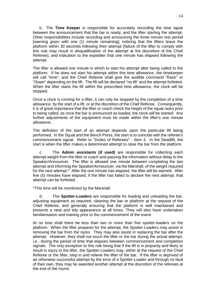b. The **Time Keeper** is responsible for accurately recording the time lapse between the announcement that the bar is ready, and the lifter starting the attempt. Other responsibilities include recording and announcing the three minute rest period [warning given with one (1) minute remaining]; noticing that the lifters leave the platform within 30 seconds following their attempt (failure of the lifter to comply with this rule may result in disqualification of the attempt at the discretion of the Chief Referee); and indication to the expediter that one minute has elapsed following the attempt.

The lifter is allowed one minute in which to start his attempt after being called to the platform. If he does not start his attempt within this time allowance, the timekeeper will call "time", and the Chief Referee shall give the audible command "Rack" or "Down" depending on the lift. The lift will be declared "no lift" and the attempt forfeited. When the lifter starts the lift within the prescribed time allowance, the clock will be stopped.

Once a clock is running for a lifter, it can only be stopped by the completion of a time allowance, by the start of a lift, or at the discretion of the Chief Referee. Consequently, it is of great importance that the lifter or coach check the height of the squat racks prior to being called, as once the bar is announced as loaded, the clock will be started. Any further adjustments of the equipment must be made within the lifter's one minute allowance.

The definition of the start of an attempt depends upon the particular lift being performed. In the Squat and the Bench Press, the start is to coincide with the referee's commencement signal. Refer to "Duties of Referees" - Item 3. In the Deadlift, the start is when the lifter makes a determined attempt to raise the bar from the platform.

c. The **Admin assistants (if used)** are responsible for collecting each attempt weight from the lifter or coach and passing the information without delay to the Speaker/Announcer. The lifter is allowed one minute between completing the last attempt and informing the Speaker/Announcer, via the Marshall, of the weight required for the next attempt.\* After the one minute has elapsed, the lifter will be warned. After five (5) minutes have elapsed, if the lifter has failed to declare the next attempt, that attempt can be forfeited.

\*This time will be monitored by the Marshall.

d. The **Spotter-Loaders** are responsible for loading and unloading the bar, adjusting equipment as required, cleaning the bar or platform at the request of the Chief Referee, and generally ensuring that the platform is well maintained and presents a neat and tidy appearance at all times. They will also have undertaken familiarisation and training prior to the commencement of the event.

At no time shall there be less than two or more than five spotter-loaders on the platform. When the lifter prepares for the attempt, the Spotter-Loaders may assist in removing the bar from the racks. They may also assist in replacing the bar after the attempt. However, they shall not touch the lifter or the bar during the actual attempt, i.e., during the period of time that elapses between commencement and completion signals. The only exception to this rule being that if the lift is in jeopardy and likely to result in injury to the lifter, the Spotter-Loaders may, either at the request of the Chief Referee or the lifter, step in and relieve the lifter of the bar. If the lifter is deprived of an otherwise successful attempt by the error of a Spotter-Loader and through no fault of their own, they may be awarded another attempt at the discretion of the referees at the end of the round.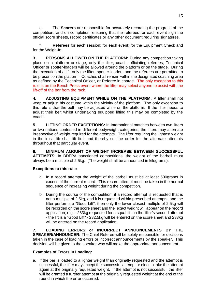e. The **Scorers** are responsible for accurately recording the progress of the competition, and on completion, ensuring that the referees for each event sign the official score sheets, record certificates or any other document requiring signatures.

f. **Referees** for each session; for each event; for the Equipment Check and for the Weigh-In.

**3. PERSONS ALLOWED ON THE PLATFORM:** During any competition taking place on a platform or stage, only the lifter, coach, officiating referees, Technical Officer or spotter-loaders will be allowed around the platform or on the stage. During the execution of a lift, only the lifter, spotter-loaders and the referees are permitted to be present on the platform. Coaches shall remain within the designated coaching area as defined by the Technical Officer, or Referee in charge. The only exception to this rule is on the Bench Press event where the lifter may select anyone to assist with the lift-off of the bar from the rack.

**4. ADJUSTING EQUIPMENT WHILE ON THE PLATFORM:** A lifter shall not wrap or adjust his costume within the vicinity of the platform. The only exception to this rule is that the belt may be adjusted while on the platform. If the lifter needs to adjust their belt whilst undertaking equipped lifting this may be completed by the coach.

**5. LIFTING ORDER EXCEPTIONS:** In International matches between two lifters or two nations contested in different bodyweight categories, the lifters may alternate irrespective of weight required for the attempts. The lifter requiring the lightest weight in the initial lift shall lift first and thereby set the order for the alternate attempts throughout that particular event.

**6. MINIMUM AMOUNT OF WEIGHT INCREASE BETWEEN SUCCESSFUL ATTEMPTS:** In BDFPA sanctioned competitions, the weight of the barbell must always be a multiple of 2.5kg. (The weight shall be announced in kilograms).

### **Exceptions to this rule:**

- a. In a record attempt the weight of the barbell must be at least 500grams in excess of the current record. This record attempt must be taken in the normal sequence of increasing weight during the competition.
- b. During the course of the competition, if a record attempt is requested that is not a multiple of 2.5kg, and it is requested within prescribed attempts, and the lifter performs a "Good Lift", then only the lower closest multiple of 2.5kg will be recorded on the score sheet and the exact weight will appear on the record application: e.g.:- 233kg requested for a squat lift on the lifter's second attempt - the lift is a "Good Lift" - 232.5kg will be entered on the score sheet and 233kg will be entered on the record application.

**7. LOADING ERRORS or INCORRECT ANNOUNCEMENTS BY THE SPEAKER/ANNOUNCER:** The Chief Referee will be solely responsible for decisions taken in the case of loading errors or incorrect announcements by the speaker. This decision will be given to the speaker who will make the appropriate announcement.

# **Examples of Errors in Loading:**

a. If the bar is loaded to a lighter weight than originally requested and the attempt is successful, the lifter may accept the successful attempt or elect to take the attempt again at the originally requested weight. If the attempt is not successful, the lifter will be granted a further attempt at the originally requested weight at the end of the round in which the error occurred.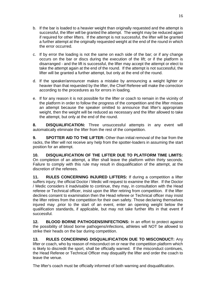- b. If the bar is loaded to a heavier weight than originally requested and the attempt is successful, the lifter will be granted the attempt. The weight may be reduced again if required for other lifters. If the attempt is not successful, the lifter will be granted a further attempt at the originally requested weight at the end of the round in which the error occurred.
- c. If by error the loading is not the same on each side of the bar; or if any change occurs on the bar or discs during the execution of the lift; or if the platform is disarranged - and the lift is successful, the lifter may accept the attempt or elect to take the attempt again at the end of the round. If the attempt is not successful, the lifter will be granted a further attempt, but only at the end of the round.
- d. If the speaker/announcer makes a mistake by announcing a weight lighter or heavier than that requested by the lifter, the Chief Referee will make the correction according to the procedures as for errors in loading.
- e. If for any reason it is not possible for the lifter or coach to remain in the vicinity of the platform in order to follow the progress of the competition and the lifter misses an attempt because the speaker omitted to announce that lifter's appropriate weight, then the weight will be reduced as necessary and the lifter allowed to take the attempt, but only at the end of the round.

**8. DISQUALIFICATION:** Three unsuccessful attempts in any event will automatically eliminate the lifter from the rest of the competition.

**9. SPOTTER AID TO THE LIFTER:** Other than initial removal of the bar from the racks, the lifter will not receive any help from the spotter-loaders in assuming the start position for an attempt.

**10. DISQUALIFICATION OF THE LIFTER DUE TO PLATFORM TIME LIMITS:** On completion of an attempt, a lifter shall leave the platform within thirty seconds. Failure to comply with this rule may result in disqualification of the attempt, at the discretion of the referees.

**11. RULES CONCERNING INJURED LIFTERS:** If during a competition a lifter suffers injury, the official Doctor / Medic will request to examine the lifter. If the Doctor / Medic considers it inadvisable to continue, they may, in consultation with the Head referee or Technical officer, insist upon the lifter retiring from competition. If the lifter declines consent to examination then the Head referee or Technical officer may insist the lifter retires from the competition for their own safety. Those declaring themselves injured may ,prior to the start of an event, enter an opening weight below the qualification standards, if applicable, but may not take further lifts in that event if successful.

**12. BLOOD BORNE PATHOGENS/INFECTIONS:** In an effort to protect against the possibility of blood borne pathogens/infections, athletes will NOT be allowed to strike their heads on the bar during competition.

**13. RULES CONCERNING DISQUALIFICATION DUE TO MISCONDUCT:** Any lifter or coach, who by reason of misconduct on or near the competition platform which is likely to discredit the sport, shall be officially warned. If the misconduct continues, the Head Referee or Technical Officer may disqualify the lifter and order the coach to leave the venue.

The lifter's coach must be officially informed of both warning and disqualification.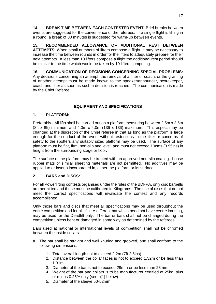**14. BREAK TIME BETWEEN EACH CONTESTED EVENT:** Brief breaks between events are suggested for the convenience of the referees. If a single flight is lifting in a round, a break of 30 minutes is suggested for warm-up between events.

**15. RECOMMENDED ALLOWANCE OF ADDITIONAL REST BETWEEN ATTEMPTS:** When small numbers of lifters compose a flight, it may be necessary to increase the time between rounds in order for the lifters to adequately prepare for their next attempts. If less than 10 lifters compose a flight the additional rest period should be similar to the time which would be taken by 10 lifters competing.

**16. COMMUNICATION OF DECISIONS CONCERNING SPECIAL PROBLEMS:** Any decisions concerning an attempt, the removal of a lifter or coach, or the granting of another attempt must be made known to the speaker/announcer, scorekeeper, coach and lifter as soon as such a decision is reached. The communication is made by the Chief Referee.

# **EQUIPMENT AND SPECIFICATIONS**

# **1. PLATFORM:**

Preferably - All lifts shall be carried out on a platform measuring between 2.5m x 2.5m (8ft x 8ft) minimum and 4.0m x 4.0m (13ft x 13ft) maximum. This aspect may be changed at the discretion of the Chief referee in that as long as the platform is large enough for the conduct of the event without restrictions to the lifter or concerns of safety to the spotters any suitably sized platform may be used. The surface of any platform must be flat, firm, non-slip and level, and must not exceed 10cms (3.95ins) in height from the surrounding stage or floor.

The surface of the platform may be treated with an approved non-slip coating. Loose rubber mats or similar sheeting materials are not permitted. No additives may be applied to or inserts incorporated in, either the platform or its surface.

# **2. BARS and DISCS:**

For all Powerlifting contests organised under the rules of the BDFPA, only disc barbells are permitted and these must be calibrated in Kilograms. The use of discs that do not meet the correct specifications will invalidate the contest and any records accomplished.

Only those bars and discs that meet all specifications may be used throughout the entire competition and for all lifts. A different bar which need not have centre knurling, may be used for the Deadlift only. The bar or bars shall not be changed during the competition unless bent or damaged in some way as determined by the referees.

Bars used at national or international levels of competition shall not be chromed between the inside collars.

- a. The bar shall be straight and well knurled and grooved, and shall conform to the following dimensions:
	- 1. Total overall length not to exceed 2.2m (7ft 2.6ins).
	- 2. Distance between the collar faces is not to exceed 1.32m or be less than 1.31m.
	- 3. Diameter of the bar is not to exceed 29mm or be less than 28mm.
	- 4. Weight of the bar and collars is to be manufacturer certified at 25kg, plus or minus 0.25% only (see b[1] below).
	- 5. Diameter of the sleeve 50-52mm.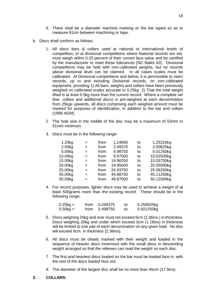- 6. There shall be a diameter machine marking or the bar taped so as to measure 81cm between machining or tape.
- b. Discs shall conform as follows:
	- 1. All discs bars & collars used at national or international levels of competition, or at divisional competitions where National records are set, must weigh within 0.25 percent of their correct face value and be certified by the manufacturer to meet these tolerances (NC Ballot 63). Divisional competitions may be held with non-calibrated weights, but no records above divisional level can be claimed. In all cases scales must be calibrated. At Divisional competitions and below, it is permissible to claim records, up to and including Divisional records, on non-calibrated equipment, providing 1) All bars, weights and collars have been previously weighed on calibrated scales accurate to 0.25kg 2) That the total weight lifted is at least 0.5kg more than the current record. Where a complete set (bar, collars and additional discs) is pre-weighed at each denomination from 25kgs upwards, all discs comprising each weighed amount must be marked for purposes of identification, in addition to the bar and collars (1998 AGM).
	- 2. The hole size in the middle of the disc may be a maximum of 53mm to 51mm minimum.
	- 3. Discs must be in the following range:

| 1.25kg  | $=$ | from | 1.24690  | to | 1.25310kg  |
|---------|-----|------|----------|----|------------|
| 2.50kg  | $=$ | from | 2.49375  | to | 2.50625kg  |
| 5.00kg  | $=$ | from | 4.98750  | to | 5.01250kg  |
| 10.00kg | $=$ | from | 9.97500  | to | 10.02500kg |
| 15.00kg | $=$ | from | 14.96250 | to | 15.03750kg |
| 20.00kg | $=$ | from | 19.95000 | to | 20.05000kg |
| 25.00kg | $=$ | from | 24.93750 | to | 25.06250kg |
| 45.00kg | $=$ | from | 44.88750 | to | 45.11250kg |
| 50.00kg | $=$ | from | 49.87500 | to | 50.12500kg |

4. For record purposes, lighter discs may be used to achieve a weight of at least 500grams more than the existing record. These should be in the following range:

| $0.25kg =$ | from 0.249375 | to | 0.250625kg |
|------------|---------------|----|------------|
| $0.50kg =$ | from 0.498750 | to | 0.501250kg |

- 5. Discs weighing 25kg and over must not exceed 6cm (2.36ins.) in thickness. Discs weighing 20kg and under which exceed 3cm (1.18ins) in thickness will be limited to one pair of each denomination on any given load. No disc will exceed 6cm. in thickness (2.36ins).
- 6. All discs must be clearly marked with their weight and loaded in the sequence of heavier discs innermost with the small discs in descending weight arranged so that the referees can read the weight on each disc.
- 7. The first and heaviest discs loaded on the bar must be loaded face in: with the rest of the discs loaded face out.
- 8. The diameter of the largest disc shall be no more than 45cm (17.9ins).
- **3. COLLARS:**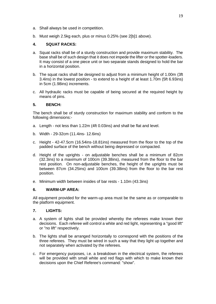- a. Shall always be used in competition.
- b. Must weigh 2.5kg each, plus or minus 0.25% (see 2[b]1 above).

### **4. SQUAT RACKS:**

- a. Squat racks shall be of a sturdy construction and provide maximum stability. The base shall be of such design that it does not impede the lifter or the spotter-loaders. It may consist of a one piece unit or two separate stands designed to hold the bar in a horizontal position.
- b. The squat racks shall be designed to adjust from a minimum height of 1.00m (3ft 3.4ins) in the lowest position - to extend to a height of at least 1.70m (5ft 6.93ins) in 5cm (1.98ins) increments.
- c. All hydraulic racks must be capable of being secured at the required height by means of pins.

### **5. BENCH:**

The bench shall be of sturdy construction for maximum stability and conform to the following dimensions:-

- a. Length not less than 1.22m (4ft 0.03ins) and shall be flat and level.
- b. Width 29-32cm (11.4ins- 12.6ins)
- c. Height 42-47.5cm (16.54ins-18.81ins) measured from the floor to the top of the padded surface of the bench without being depressed or compacted.
- d. Height of the uprights on adjustable benches shall be a minimum of 82cm (32.3ins) to a maximum of 100cm (39.38ins), measured from the floor to the bar rest position. On non-adjustable benches, the height of the uprights must be between 87cm (34.25ins) and 100cm (39.38ins) from the floor to the bar rest position.
- e. Minimum width between insides of bar rests 1.10m (43.3ins)

### **6. WARM-UP AREA:**

All equipment provided for the warm-up area must be the same as or comparable to the platform equipment.

### **7. LIGHTS:**

- a. A system of lights shall be provided whereby the referees make known their decisions. Each referee will control a white and red light, representing a "good lift" or "no lift" respectively.
- b. The lights shall be arranged horizontally to correspond with the positions of the three referees. They must be wired in such a way that they light up together and not separately when activated by the referees.
- c. For emergency purposes, i.e. a breakdown in the electrical system, the referees will be provided with small white and red flags with which to make known their decisions upon the Chief Referee's command: "show".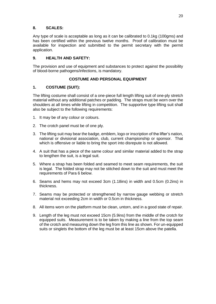# **8. SCALES:**

Any type of scale is acceptable as long as it can be calibrated to 0.1kg (100gms) and has been certified within the previous twelve months. Proof of calibration must be available for inspection and submitted to the permit secretary with the permit application.

# **9. HEALTH AND SAFETY:**

The provision and use of equipment and substances to protect against the possibility of blood-borne pathogens/infections, is mandatory.

# **COSTUME AND PERSONAL EQUIPMENT**

# **1. COSTUME (SUIT):**

The lifting costume shall consist of a one-piece full length lifting suit of one-ply stretch material without any additional patches or padding. The straps must be worn over the shoulders at all times while lifting in competition. The supportive type lifting suit shall also be subject to the following requirements:

- 1. It may be of any colour or colours.
- 2. The crotch panel must be of one ply.
- 3. The lifting suit may bear the badge, emblem, logo or inscription of the lifter's nation, national or divisional association, club, current championship or sponsor. That which is offensive or liable to bring the sport into disrepute is not allowed.
- 4. A suit that has a piece of the same colour and similar material added to the strap to lengthen the suit, is a legal suit.
- 5. Where a strap has been folded and seamed to meet seam requirements, the suit is legal. The folded strap may not be stitched down to the suit and must meet the requirements of Para 6 below.
- 6. Seams and hems may not exceed 3cm (1.18ins) in width and 0.5cm (0.2ins) in thickness.
- 7. Seams may be protected or strengthened by narrow gauge webbing or stretch material not exceeding 2cm in width or 0.5cm in thickness.
- 8. All items worn on the platform must be clean, untorn, and in a good state of repair.
- 9. Length of the leg must not exceed 15cm (5.9ins) from the middle of the crotch for equipped suits. Measurement is to be taken by making a line from the top seam of the crotch and measuring down the leg from this line as shown. For un-equipped suits or singlets the bottom of the leg must be at least 15cm above the patella.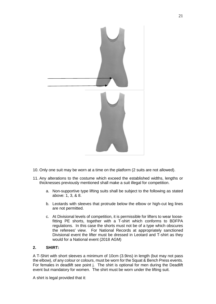

- 10. Only one suit may be worn at a time on the platform (2 suits are not allowed).
- 11. Any alterations to the costume which exceed the established widths, lengths or thicknesses previously mentioned shall make a suit illegal for competition.
	- a. Non-supportive type lifting suits shall be subject to the following as stated above: 1, 3, & 8.
	- b. Leotards with sleeves that protrude below the elbow or high-cut leg lines are not permitted.
	- c. At Divisional levels of competition, it is permissible for lifters to wear loosefitting PE shorts, together with a T-shirt which conforms to BDFPA regulations. In this case the shorts must not be of a type which obscures the referees' view. For National Records at appropriately sanctioned Divisional event the lifter must be dressed in Leotard and T-shirt as they would for a National event (2018 AGM)

### **2. SHIRT:**

A T-Shirt with short sleeves a minimum of 10cm (3.9ins) in length (but may not pass the elbow), of any colour or colours, must be worn for the Squat & Bench Press events. For females in deadlift see point j. The shirt is optional for men during the Deadlift event but mandatory for women. The shirt must be worn under the lifting suit.

A shirt is legal provided that it: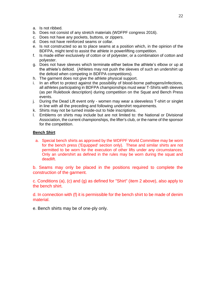- a. Is not ribbed.
- b. Does not consist of any stretch materials (WDFPF congress 2016).
- c. Does not have any pockets, buttons, or zippers.
- d. Does not have reinforced seams or collar.
- e. Is not constructed so as to place seams at a position which, in the opinion of the BDFPA, might tend to assist the athlete in powerlifting competition.
- f. Is made either exclusively of cotton or of polyester, or a combination of cotton and polyester.
- g. Does not have sleeves which terminate either below the athlete's elbow or up at the athlete's deltoid. (Athletes may not push the sleeves of such an undershirt up the deltoid when competing in BDFPA competitions).
- h. The garment does not give the athlete physical support.
- i. In an effort to protect against the possibility of blood-borne pathogens/infections, all athletes participating in BDFPA championships must wear T-Shirts with sleeves (as per Rulebook description) during competition on the Squat and Bench Press events.
- j. During the Dead Lift event only women may wear a sleeveless T-shirt or singlet in line with all the preceding and following undershirt requirements.
- k. Shirts may not be turned inside-out to hide inscriptions.
- l. Emblems on shirts may include but are not limited to: the National or Divisional Association, the current championships, the lifter's club, or the name of the sponsor for the competition.

### **Bench Shirt**

a. Special bench shirts as approved by the WDFPF World Committee may be worn for the bench press ('Equipped' section only). These and similar shirts are not permitted to be worn for the execution of other lifts under any circumstances. Only an undershirt as defined in the rules may be worn during the squat and deadlift.

b. Seams may only be placed in the positions required to complete the construction of the garment.

c. Conditions (a), (c) and (g) as defined for "Shirt" (item 2 above), also apply to the bench shirt.

d. In connection with (f) it is permissible for the bench shirt to be made of denim material.

e. Bench shirts may be of one-ply only.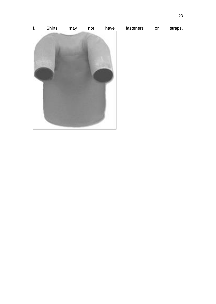f. Shirts may not have fasteners or straps.

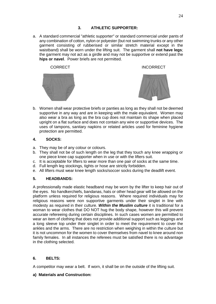a. A standard commercial "athletic supporter" or standard commercial under pants of any combination of cotton, nylon or polyester (but not swimming trunks or any other garment consisting of rubberised or similar stretch material except in the waistband) shall be worn under the lifting suit. The garment shall **not have legs**; the garment may not act as a girdle and may not be supportive or extend past the **hips or navel**. Power briefs are not permitted.





b. Women shall wear protective briefs or panties as long as they shall not be deemed supportive in any way and are in keeping with the male equivalent. Women may also wear a bra as long as the bra cup does not maintain its shape when placed upright on a flat surface and does not contain any wire or supportive devices. The uses of tampons, sanitary napkins or related articles used for feminine hygiene protection are permitted.

# **4. SOCKS:**

- a. They may be of any colour or colours.
- b. They shall not be of such length on the leg that they touch any knee wrapping or one piece knee cap supporter when in use or with the lifters suit.
- c. It is acceptable for lifters to wear more than one pair of socks at the same time.
- d. Full length leg stockings, tights or hose are strictly forbidden.
- e. All lifters must wear knee length socks/soccer socks during the deadlift event.

# **5. HEADBANDS:**

A professionally made elastic headband may be worn by the lifter to keep hair out of the eyes. No handkerchiefs, bandanas, hats or other head gear will be allowed on the platform unless required for religious reasons. Where required individuals may for religious reasons were non supportive garments under their singlet in line with modesty as required in their culture. *Within the Muslim culture* it is traditional for a woman to wear clothes that DO NOT hug the body shape, however this will prevent accurate refereeing during certain disciplines. In such cases women are permitted to wear an item of clothing that does not provide additional support such as leggings and a long sleeve top under their singlet in order to meet the requirement to cover the ankles and the arms. There are no restriction when weighing in within the culture but it is not uncommon for the women to cover themselves from navel to knee around non family females. In all instances the referees must be satisfied there is no advantage in the clothing selected.

# **6. BELTS:**

A competitor may wear a belt. If worn, it shall be on the outside of the lifting suit.

# **a) Materials and Construction:**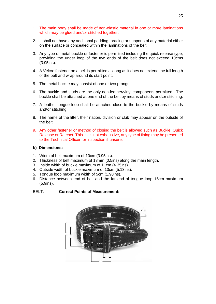- 1. The main body shall be made of non-elastic material in one or more laminations which may be glued and\or stitched together.
- 2. It shall not have any additional padding, bracing or supports of any material either on the surface or concealed within the laminations of the belt.
- 3. Any type of metal buckle or fastener is permitted including the quick release type, providing the under loop of the two ends of the belt does not exceed 10cms (3.95ins).
- 4. A Velcro fastener on a belt is permitted as long as it does not extend the full length of the belt and wrap around its start point.
- 5. The metal buckle may consist of one or two prongs.
- 6. The buckle and studs are the only non-leather/vinyl components permitted. The buckle shall be attached at one end of the belt by means of studs and\or stitching.
- 7. A leather tongue loop shall be attached close to the buckle by means of studs and\or stitching.
- 8. The name of the lifter, their nation, division or club may appear on the outside of the belt.
- 9. Any other fastener or method of closing the belt is allowed such as Buckle, Quick Release or Ratchet. This list is not exhaustive, any type of fixing may be presented to the Technical Officer for inspection if unsure.

### **b) Dimensions:**

- 1. Width of belt maximum of 10cm (3.95ins).
- 2. Thickness of belt maximum of 13mm (0.5ins) along the main length.
- 3. Inside width of buckle maximum of 11cm (4.35ins)
- 4. Outside width of buckle maximum of 13cm (5.13ins).
- 5. Tongue loop maximum width of 5cm (1.98ins).
- 6. Distance between end of belt and the far end of tongue loop 15cm maximum (5.9ins).

BELT: **Correct Points of Measurement:**

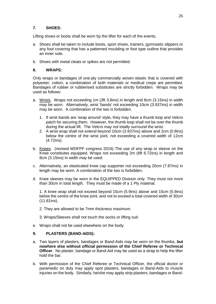# **7. SHOES:**

Lifting shoes or boots shall be worn by the lifter for each of the events.

- a. Shoes shall be taken to include boots, sport shoes, trainers, gymnastic slippers or any foot covering that has a patterned moulding or foot type outline that provides an inner sole.
- b. Shoes with metal cleats or spikes are not permitted.

### **8. WRAPS:**

Only wraps or bandages of one-ply commercially woven elastic that is covered with polyester, cotton, a combination of both materials or medical crepe are permitted. Bandages of rubber or rubberised substitutes are strictly forbidden. Wraps may be used as follows:

- a. Wrists. Wraps not exceeding 1m (3ft 3.8ins) in length and 8cm (3.15ins) in width may be worn. Alternatively, wrist 'bands' not exceeding 10cm (3.937ins) in width may be worn. A combination of the two is forbidden.
	- 1. If wrist bands are 'wrap around' style, they may have a thumb loop and Velcro patch for securing them. However, the thumb loop shall not be over the thumb during the actual lift. The Velcro may not totally surround the wrist.
	- 2. A wrist wrap shall not extend beyond 10cm (3.937ins) above and 2cm (0.8ins) below the centre of the wrist joint, not exceeding a covered width of 12cm (4.72ins).
- b. Knees. (revised WDFPF congress 2016) The use of any wrap or sleeve on the Knee constitutes equipped. Wraps not exceeding 2m (6ft 6.72ins) in length and 8cm (3.15ins) in width may be used.
- c. Alternatively, an elasticated knee cap supporter not exceeding 20cm (7.87ins) in length may be worn. A combination of the two is forbidden.
- d. Knee sleeves may be worn in the EQUIPPED Division only. They must not more than 30cm in total length. They must be made of a 1 Ply material.

1. A knee wrap shall not exceed beyond 15cm (5.9ins) above and 15cm (5.9ins) below the centre of the knee joint, and not to exceed a total covered width of 30cm (11.81ins).

- 2. They are allowed to be 7mm thickness maximum.
- 3. Wraps/Sleeves shall not touch the socks or lifting suit.
- e. Wraps shall not be used elsewhere on the body.

### **9. PLASTERS (BAND-AIDS):**

- a. Two layers of plasters, bandages or Band-Aids may be worn on the thumbs, **but nowhere else without official permission of the Chief Referee or Technical Officer**. No plaster, bandage or Band-Aid may be used as a strap to help the lifter hold the bar.
- b. With permission of the Chief Referee or Technical Officer, the official doctor or paramedic on duty may apply spot plasters, bandages or Band-Aids to muscle injuries on the body. Similarly, he/she may apply strip plasters, bandages or Band-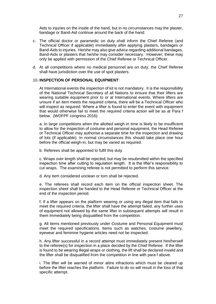Aids to injuries on the inside of the hand, but in no circumstances may the plaster, bandage or Band-Aid continue around the back of the hand.

- c. The official doctor or paramedic on duty shall inform the Chief Referee (and Technical Officer if applicable) immediately after applying plasters, bandages or Band-Aids to injuries. He/she may also give advice regarding additional bandages, Band-Aids or plasters that he/she may consider necessary. However, these may only be applied with permission of the Chief Referee or Technical Officer.
- d. At all competitions where no medical personnel are on duty, the Chief Referee shall have jurisdiction over the use of spot plasters.

### 10. **INSPECTION OF PERSONAL EQUIPMENT**:

At International events the inspection of kit is not mandatory. It is the responsibility of the National Technical Secretary of all Nations to ensure that their lifters are wearing suitable equipment prior to or at International events. Where lifters are unsure if an item meets the required criteria, there will be a Technical Officer who will inspect as required. Where a lifter is found to enter the event with equipment that would otherwise fail to meet the required criteria action will be as at Para f below. (WDFPF congress 2016):

a. In large competitions when the allotted weigh-in time is likely to be insufficient to allow for the inspection of costume and personal equipment, the Head Referee or Technical Officer may authorise a separate time for the inspection and drawing of lots (if applicable). In normal circumstances this should take place one hour before the official weigh-in, but may be varied as required.

b. Referees shall be appointed to fulfil this duty.

c. Wraps over length shall be rejected, but may be resubmitted within the specified inspection time after cutting to regulation length. It is the lifter's responsibility to cut wraps. The examining referee is not permitted to perform this service.

d. Any item considered unclean or torn shall be rejected.

e. The referees shall record each item on the official inspection sheet. The inspection sheet shall be handed to the Head Referee or Technical Officer at the end of the inspection period.

f. If a lifter appears on the platform wearing or using any illegal item that fails to meet the required criteria, the lifter shall have the attempt failed, any further uses of equipment not allowed by the same lifter in subsequent attempts will result in them immediately being disqualified from the competition.

g. All items mentioned previously under Costume and Personal Equipment must meet the required specifications. Items such as watches, costume jewellery, eyewear and feminine hygiene articles need not be inspected.

h. Any lifter successful in a record attempt must immediately present him/herself to the referee(s) for inspection in a place decided by the Chief Referee. If the lifter is found to be wearing illegal wraps or clothing, the lift shall be declared invalid and the lifter shall be disqualified from the competition in line with para f above.

i. The lifter will be warned of minor attire infractions which must be cleared up before the lifter reaches the platform. Failure to do so will result in the loss of that specific attempt.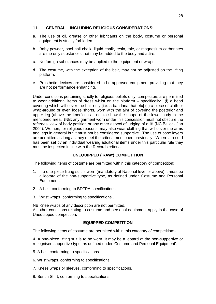### **11. GENERAL – INCLUDING RELIGIOUS CONSIDERATIONS:**

- a. The use of oil, grease or other lubricants on the body, costume or personal equipment is strictly forbidden.
- b. Baby powder, pool hall chalk, liquid chalk, resin, talc, or magnesium carbonates are the only substances that may be added to the body and attire.
- c. No foreign substances may be applied to the equipment or wraps.
- d. The costume, with the exception of the belt, may not be adjusted on the lifting platform.
- e. Prosthetic devices are considered to be approved equipment providing that they are not performance enhancing.

Under conditions pertaining strictly to religious beliefs only, competitors are permitted to wear additional items of dress whilst on the platform – specifically: (i) a head covering which will cover the hair only [i.e. a bandana, hat etc] (ii) a piece of cloth or wrap-around or even loose shorts, worn with the aim of covering the posterior and upper leg (above the knee) so as not to show the shape of the lower body in the mentioned area. (NB: any garment worn under this concession must not obscure the referees' view of body position or any other aspect of judging of a lift (NC Ballot - Jan 2004). Women, for religious reasons, may also wear clothing that will cover the arms and legs in general but it must not be considered supportive. The use of base layers are permitted as long as they meet the criteria mentioned previously. Where a record has been set by an individual wearing additional items under this particular rule they must be inspected in line with the Records criteria.

### **UNEQUIPPED ('RAW') COMPETITION**

The following items of costume are permitted within this category of competition:

- 1. If a one-piece lifting suit is worn (mandatory at National level or above) it must be a leotard of the non-supportive type, as defined under 'Costume and Personal Equipment'.
- 2. A belt, conforming to BDFPA specifications.
- 3. Wrist wraps, conforming to specifications..

NB Knee wraps of any description are not permitted. All other conditions relating to costume and personal equipment apply in the case of Unequipped competition.

### **EQUIPPED COMPETITION**

The following items of costume are permitted within this category of competition:-

4. A one-piece lifting suit is to be worn. It may be a leotard of the non-supportive or recognised supportive type, as defined under 'Costume and Personal Equipment'.

- 5. A belt, conforming to specifications.
- 6. Wrist wraps, conforming to specifications.
- 7. Knees wraps or sleeves, conforming to specifications.
- 8. Bench Shirt, conforming to specifications.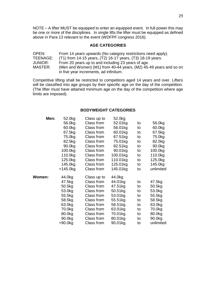NOTE – A lifter MUST be equipped to enter an equipped event. In full power this may be one or more of the disciplines. In single lifts the lifter must be equipped as defined above in Para 13 relevant to the event (WDFPF congress 2016).

### **AGE CATEGORIES**

| OPEN:    | From 14 years upwards (No category restrictions need apply).      |
|----------|-------------------------------------------------------------------|
| TEENAGE: | (T1) from 14-15 years, (T2) 16-17 years, (T3) 18-19 years.        |
| JUNIOR:  | From 20 years up to and including 23 years of age.                |
| MASTER:  | (Men and Women) (M1) from 40-44 years, (M2) 45-49 years and so on |
|          | in five year increments, ad infinitum.                            |

Competitive lifting shall be restricted to competitors aged 14 years and over. Lifters will be classified into age groups by their specific age on the day of the competition. (The lifter must have attained minimum age on the day of the competition where age limits are imposed).

### **BODYWEIGHT CATEGORIES**

| Men:   | 52.0kg     | Class up to | 52.0kg   |    |           |
|--------|------------|-------------|----------|----|-----------|
|        | 56.0kg     | Class from  | 52.01kg  | to | 56.0kg    |
|        | 60.0kg     | Class from  | 56.01kg  | to | 60.0kg    |
|        | 67.5kg     | Class from  | 60.01kg  | to | 67.5kg    |
|        | 75.0kg     | Class from  | 67.51kg  | to | 75.0kg    |
|        | 82.5kg     | Class from  | 75.01kg  | to | 82.5kg    |
|        | 90.0kg     | Class from  | 82.51kg  | to | 90.0kg    |
|        | 100.0kg    | Class from  | 90.01kg  | to | 100.0kg   |
|        | 110.0kg    | Class from  | 100.01kg | to | 110.0kg   |
|        | 125.0kg    | Class from  | 110.01kg | to | 125.0kg   |
|        | 145.0kg    | Class from  | 125.01kg | to | 145.0kg   |
|        | $+145.0kg$ | Class from  | 145.01kg | to | unlimited |
| Women: | 44.0kg     | Class up to | 44.0kg   |    |           |
|        | 47.5kg     | Class from  | 44.01kg  | to | 47.5kg    |
|        | 50.5kg     | Class from  | 47.51kg  | to | 50.5kg    |
|        | 53.0kg     | Class from  | 50.51kg  | to | 53.0kg    |
|        | 55.5kg     | Class from  | 53.01kg  | to | 55.5kg    |
|        | 58.5kg     | Class from  | 55.51kg  | to | 58.5kg    |
|        | 63.0kg     | Class from  | 58.51kg  | to | 63.0kg    |
|        | 70.0kg     | Class from  | 63.01kg  | to | 70.0kg    |
|        | 80.0kg     | Class from  | 70.01kg  | to | 80.0kg    |
|        | 90.0kg     | Class from  | 80.01kg  | to | 90.0kg    |
|        | $+90.0$ kg | Class from  | 90.01kg  | to | unlimited |
|        |            |             |          |    |           |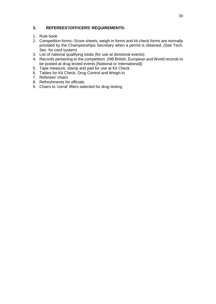# **3. REFEREES'/OFFICERS' REQUIREMENTS:**

- 1. Rule book
- 2. Competition forms:-Score sheets, weigh-in forms and kit check forms are normally provided by the Championships Secretary when a permit is obtained. (See Tech. Sec. for card system)
- 3. List of national qualifying totals (for use at divisional events)
- 4. Records pertaining to the competition. (NB British, European and World records to be posted at drug tested events [National or International])
- 5. Tape measure, stamp and pad for use at Kit Check
- 6. Tables for Kit Check, Drug Control and Weigh-in
- 7. Referees' chairs
- 8. Refreshments for officials
- 9. Chairs to 'corral' lifters selected for drug testing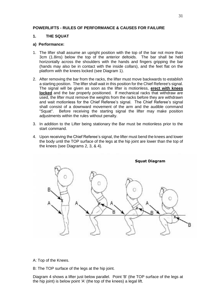### **POWERLIFTS - RULES OF PERFORMANCE & CAUSES FOR FAILURE**

# **1. THE SQUAT**

### **a) Performance:**

- 1. The lifter shall assume an upright position with the top of the bar not more than 3cm (1.8ins) below the top of the anterior deltoids. The bar shall be held horizontally across the shoulders with the hands and fingers gripping the bar (hands may also be in contact with the inside collars), and the feet flat on the platform with the knees locked (see Diagram 1).
- 2. After removing the bar from the racks, the lifter must move backwards to establish a starting position. The lifter shall wait in this position for the Chief Referee's signal. The signal will be given as soon as the lifter is motionless, **erect with knees locked** and the bar properly positioned. If mechanical racks that withdraw are used, the lifter must remove the weights from the racks before they are withdrawn and wait motionless for the Chief Referee's signal. The Chief Referee's signal shall consist of a downward movement of the arm and the audible command<br>"Sauat". Before receiving the starting signal the lifter may make position Before receiving the starting signal the lifter may make position adjustments within the rules without penalty.
- 3. In addition to the Lifter being stationary the Bar must be motionless prior to the start command.
- 4. Upon receiving the Chief Referee's signal, the lifter must bend the knees and lower the body until the TOP surface of the legs at the hip joint are lower than the top of the knees (see Diagrams 2, 3, & 4).



A: Top of the Knees.

B: The TOP surface of the legs at the hip joint.

Diagram 4 shows a lifter just below parallel. Point 'B' (the TOP surface of the legs at the hip joint) is below point 'A' (the top of the knees) a legal lift.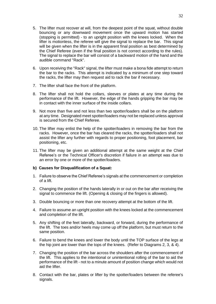- 5. The lifter must recover at will, from the deepest point of the squat, without double bouncing or any downward movement once the upward motion has started (stopping is permitted) - to an upright position with the knees locked. When the lifter is motionless, the referee will give the signal to replace the bar. This signal will be given when the lifter is in the apparent final position as best determined by the Chief Referee (even if the final position is not correct according to the rules). The signal to replace the bar will consist of a backward motion of the hand and the audible command "Rack".
- 6. Upon receiving the "Rack" signal, the lifter must make a bona fide attempt to return the bar to the racks. This attempt is indicated by a minimum of one step toward the racks, the lifter may then request aid to rack the bar if necessary.
- 7. The lifter shall face the front of the platform.
- 8. The lifter shall not hold the collars, sleeves or plates at any time during the performance of the lift. However, the edge of the hands gripping the bar may be in contact with the inner surface of the inside collars.
- 9. Not more than five and not less than two spotter/loaders shall be on the platform at any time. Designated meet spotter/loaders may not be replaced unless approval is secured from the Chief Referee.
- 10. The lifter may enlist the help of the spotter/loaders in removing the bar from the racks. However, once the bar has cleared the racks, the spotter/loaders shall not assist the lifter any further with regards to proper positioning, foot placement, bar positioning, etc.
- 11. The lifter may be given an additional attempt at the same weight at the Chief Referee's or the Technical Officer's discretion if failure in an attempt was due to an error by one or more of the spotter/loaders.

### **b) Causes for Disqualification of a Squat:**

- 1. Failure to observe the Chief Referee's signals at the commencement or completion of a lift.
- 2. Changing the position of the hands laterally in or out on the bar after receiving the signal to commence the lift. (Opening & closing of the fingers is allowed).
- 3. Double bouncing or more than one recovery attempt at the bottom of the lift.
- 4. Failure to assume an upright position with the knees locked at the commencement and completion of the lift.
- 5. Any shifting of the feet laterally, backward, or forward, during the performance of the lift. The toes and/or heels may come up off the platform, but must return to the same position.
- 6. Failure to bend the knees and lower the body until the TOP surface of the legs at the hip joint are lower than the tops of the knees. (Refer to Diagrams 2, 3, & 4).
- 7. Changing the position of the bar across the shoulders after the commencement of the lift. This applies to the intentional or unintentional rolling of the bar to aid the performance of the lift - not to a minute amount of position change which would not aid the lifter.
- 8. Contact with the bar, plates or lifter by the spotter/loaders between the referee's signals.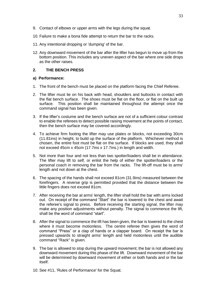- 9. Contact of elbows or upper arms with the legs during the squat.
- 10. Failure to make a bona fide attempt to return the bar to the racks.
- 11. Any intentional dropping or 'dumping' of the bar.
- 12. Any downward movement of the bar after the lifter has begun to move up from the bottom position. This includes any uneven aspect of the bar where one side drops as the other raises.

### **2. THE BENCH PRESS**

### **a) Performance:**

- 1. The front of the bench must be placed on the platform facing the Chief Referee.
- 2. The lifter must lie on his back with head, shoulders and buttocks in contact with the flat bench surface. The shoes must be flat on the floor, or flat on the built up surface. This position shall be maintained throughout the attempt once the command signal has been given.
- 3. If the lifter's costume and the bench surface are not of a sufficient colour contrast to enable the referees to detect possible raising movement at the points of contact, then the bench surface may be covered accordingly.
- 4. To achieve firm footing the lifter may use plates or blocks, not exceeding 30cm (11.81ins) in height, to build up the surface of the platform. Whichever method is chosen, the entire foot must be flat on the surface. If blocks are used, they shall not exceed 45cm x 45cm (17.7ins x 17.7ins.) in length and width.
- 5. Not more than four and not less than two spotter/loaders shall be in attendance. The lifter may lift to self, or enlist the help of either the spotter/loaders or the personal coach in removing the bar from the racks. The lift-off must be to arms' length and not down at the chest.
- 6. The spacing of the hands shall not exceed 81cm (31.9ins) measured between the forefingers. A reverse grip is permitted provided that the distance between the little fingers does not exceed 81cm.
- 7. After receiving the bar at arms' length, the lifter shall hold the bar with arms locked out. On receipt of the command "Start" the bar is lowered to the chest and await the referee's signal to press. Before receiving the starting signal, the lifter may make any position adjustments without penalty. The signal to commence the lift, shall be the word of command "start".
- 8. After the signal to commence the lift has been given, the bar is lowered to the chest where it must become motionless. The centre referee then gives the word of command "Press" or a clap of hands or a clapper board. On receipt the bar is pressed upwards to straight arms' length and held motionless until the audible command "Rack" is given.
- 9. The bar is allowed to stop during the upward movement; the bar is not allowed any downward movement during this phase of the lift. Downward movement of the bar will be determined by downward movement of either or both hands and or the bar itself.
- 10. See #11, 'Rules of Performance' for the Squat.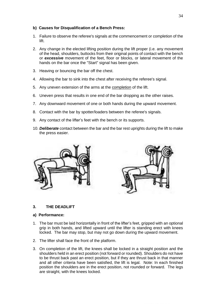### **b) Causes for Disqualification of a Bench Press:**

- 1. Failure to observe the referee's signals at the commencement or completion of the lift.
- 2. Any change in the elected lifting position during the lift proper (i.e. any movement of the head, shoulders, buttocks from their original points of contact with the bench or *excessive* movement of the feet, floor or blocks, or lateral movement of the hands on the bar once the "Start" signal has been given.
- 3. Heaving or bouncing the bar off the chest.
- 4. Allowing the bar to sink into the chest after receiving the referee's signal.
- 5. Any uneven extension of the arms at the completion of the lift.
- 6. Uneven press that results in one end of the bar dropping as the other raises.
- 7. Any downward movement of one or both hands during the upward movement.
- 8. Contact with the bar by spotter/loaders between the referee's signals.
- 9. Any contact of the lifter's feet with the bench or its supports.
- 10. *Deliberate* contact between the bar and the bar rest uprights during the lift to make the press easier.



# **3. THE DEADLIFT**

### **a) Performance:**

- 1. The bar must be laid horizontally in front of the lifter's feet, gripped with an optional grip in both hands, and lifted upward until the lifter is standing erect with knees locked. The bar may stop, but may not go down during the upward movement.
- 2. The lifter shall face the front of the platform.
- 3. On completion of the lift, the knees shall be locked in a straight position and the shoulders held in an erect position (not forward or rounded). Shoulders do not have to be thrust back past an erect position, but if they are thrust back in that manner and all other criteria have been satisfied, the lift is legal. Note: In each finished position the shoulders are in the erect position, not rounded or forward. The legs are straight, with the knees locked.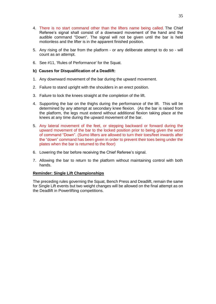- 4. There is no start command other than the lifters name being called. The Chief Referee's signal shall consist of a downward movement of the hand and the audible command "Down". The signal will not be given until the bar is held motionless and the lifter is in the apparent finished position.
- 5. Any rising of the bar from the platform or any deliberate attempt to do so will count as an attempt.
- 6. See #11, 'Rules of Performance' for the Squat.

### **b) Causes for Disqualification of a Deadlift:**

- 1. Any downward movement of the bar during the upward movement.
- 2. Failure to stand upright with the shoulders in an erect position.
- 3. Failure to lock the knees straight at the completion of the lift.
- 4. Supporting the bar on the thighs during the performance of the lift. This will be determined by any attempt at secondary knee flexion. (As the bar is raised from the platform, the legs must extend without additional flexion taking place at the knees at any time during the upward movement of the bar.
- 5. Any lateral movement of the feet, or stepping backward or forward during the upward movement of the bar to the locked position prior to being given the word of command "Down". (Sumo lifters are allowed to turn their toes/feet inwards after the "down" command has been given in order to prevent their toes being under the plates when the bar is returned to the floor)
- 6. Lowering the bar before receiving the Chief Referee's signal.
- 7. Allowing the bar to return to the platform without maintaining control with both hands.

### **Reminder: Single Lift Championships**

The preceding rules governing the Squat, Bench Press and Deadlift, remain the same for Single Lift events but two weight changes will be allowed on the final attempt as on the Deadlift in Powerlifting competitions.